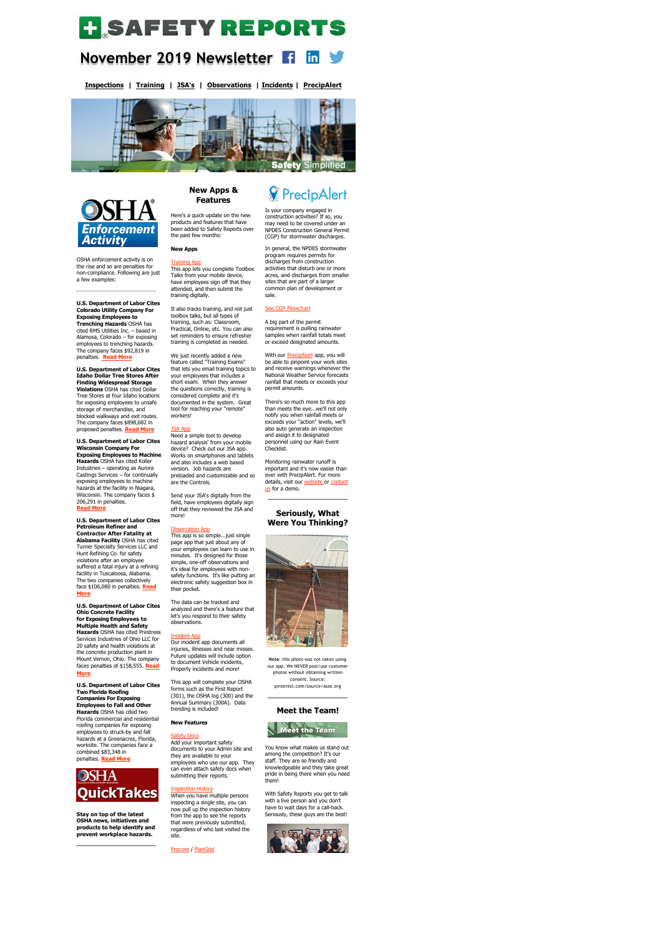# **H** SAFETY REPORTS

### **November 2019 Newsletter**   $\mathsf{in} \blacktriangleright$

**[Inspections](https://www.safety-reports.com/safety-inspection/) | [Training](https://www.safety-reports.com/safety-training/) | [JSA's](https://www.safety-reports.com/jsa/) | [Observations](https://www.safety-reports.com/safety-observation-app/) | [Incidents](https://www.safety-reports.com/safety-incident-app/) | [PrecipAlert](https://www.safety-reports.com/precipalert/)**





OSHA enforcement activity is on the rise and so are penalties for non-compliance. Following are just a few examples:

**U.S. Department of Labor Cites Colorado Utility Company For Exposing Employees to Trenching Hazards** OSHA has cited RMS Utilities Inc. – based in Alamosa, Colorado – for exposing employees to trenching hazards. The company faces \$92,819 in penalties.**[Read More](https://www.safety-reports.com/blog/november-enforcement/#colorado)**

**U.S. Department of Labor Cites Idaho Dollar Tree Stores After Finding Widespread Storage Violations** OSHA has cited Dollar Tree Stores at four Idaho locations for exposing employees to unsafe storage of merchandise, and blocked walkways and exit routes. The company faces \$898,682 in proposed penalties. **[Read More](https://www.safety-reports.com/blog/november-enforcement/#idaho)**

**U.S. Department of Labor Cites Wisconsin Company For Exposing Employees to Machine Hazards** OSHA has cited Koller Industries ‒ operating as Aurora Castings Services  $-$  for continually exposing employees to machine hazards at the facility in Niagara, Wisconsin. The company faces \$

206,291 in penalties. **[Read More](https://www.safety-reports.com/blog/november-enforcement/#wisconsin)**

**U.S. Department of Labor Cites Petroleum Refiner and Contractor After Fatality at Alabama Facility** OSHA has cited Turner Specialty Services LLC and Hunt Refining Co. for safety violations after an employee suffered a fatal injury at a refining facility in Tuscaloosa, Alabama. The two companies collectively [face \\$](https://www.safety-reports.com/blog/november-enforcement/#alabama)106,080 in penalties. **Read More**

**U.S. Department of Labor Cites Ohio Concrete Facility for Exposing Employees to Multiple Health and Safety Hazards** OSHA has cited Prestress Services Industries of Ohio LLC for 20 safety and health violations at the concrete production plant in Mount Vernon, Ohio. The company [faces](https://www.safety-reports.com/blog/november-enforcement/#ohio) penalties of \$158,555. **Read More**

**U.S. Department of Labor Cites Two Florida Roofing Companies For Exposing Employees to Fall and Other Hazards** OSHA has cited two Florida commercial and residential roofing companies for exposing employees to struck-by and fall hazards at a Greenacres, Florida, worksite. The companies face a combined \$83,348 in penalties. **Read More**



**Stay on top of the latest OSHA news, initiatives and products to help identify and prevent workplace hazards.**

# **New Apps & Features**

Here's a quick update on the new products and features that have been added to Safety Reports over the past few months:

**New Apps**

## **[Training App](https://www.safety-reports.com/safety-training/)**

This app lets you complete Toolbox Talks from your mobile device, have employees sign off that they attended, and then submit the training digitally.

It also tracks training, and not just toolbox talks, but all types of training, such as: Classroom, Practical, Online, etc. You can also set reminders to ensure refresher training is completed as needed.

> With our **[PrecipAlert](https://www.safety-reports.com/precipalert/)** app, you will be able to pinpoint your work sites and receive warnings whenever the National Weather Service forecasts rainfall that meets or exceeds your permit amounts.

> Monitoring rainwater runoff is important and it's now easier than ever with PrecipAlert. For more [details, visit our w](https://www.safety-reports.com/contact-us/)[ebsite](https://www.safety-reports.com/precipalert/) [or contact](https://www.safety-reports.com/contact-us/) us for a demo.

We just recently added a new feature called "Training Exams" that lets you email training topics to your employees that includes a short exam. When they answer the questions correctly, training is considered complete and it's documented in the system. Great tool for reaching your "remote" workers!

#### [JSA App](https://www.safety-reports.com/jsa/)

Need a simple tool to develop hazard analysis' from your mobile device? Check out our JSA app. Works on smartphones and tablets and also includes a web based version. Job hazards are preloaded and customizable and so are the Controls.

Send your JSA's digitally from the

# *V* PrecipAlert

field, have employees digitally sign off that they reviewed the JSA and more!

#### [Observation App](https://www.safety-reports.com/safety-observation-app/)

This app is so simple...just single page app that just about any of your employees can learn to use in minutes. It's designed for those simple, one-off observations and it's ideal for employees with nonsafety functions. It's like putting an electronic safety suggestion box in their pocket.

The data can be tracked and analyzed and there's a feature that let's you respond to their safety observations.

#### [Incident App](https://www.safety-reports.com/safety-incident-app/)

Our incident app documents all injuries, illnesses and near misses. Future updates will include option to document Vehicle incidents, Property incidents and more!

This app will complete your OSHA forms such as the First Report (301), the OSHA log (300) and the Annual Summary (300A). Data trending is included!

#### **New Features**

#### **[Safety Docs](https://www.safety-reports.com/safety-docs/)**

Add your important safety documents to your Admin site and they are available to your employees who use our app. They can even attach safety docs when submitting their reports.

#### [Inspection History](https://www.safety-reports.com/how-to/instruction-history/)

When you have multiple persons inspecting a single site, you can now pull up the inspection history from the app to see the reports that were previously submitted, regardless of who last visited the site.

[Procore](https://www.safety-reports.com/procore-intergration/) / [PlanGrid](https://www.safety-reports.com/plangrid-integration/)

Is your company engaged in construction activities? If so, you may need to be covered under an NPDES Construction General Permit (CGP) for stormwater discharges.

In general, the NPDES stormwater program requires permits for discharges from construction activities that disturb one or more acres, and discharges from smaller sites that are part of a larger common plan of development or sale.

#### See CGP Flowchart

A big part of the permit requirement is pulling rainwater samples when rainfall totals meet or exceed designated amounts.

There's so much more to this app than meets the eye...we'll not only notify you when rainfall meets or exceeds your "action" levels, we'll also auto generate an inspection and assign it to designated personnel using our Rain Event Checklist.

**Seriously, What**

# **Were You Thinking?**



**Note**: this photo was not taken using our app. We NEVER post/use customer photos without obtaining written consent. Source: pinterest.com/source/asse.org

# **[Meet the Team!](https://www.safety-reports.com/blog/4-podcasts-for-safety-professionals/)**



You know what makes us stand out among the competition? It's our staff. They are so friendly and knowledgeable and they take great pride in being there when you need them!

With Safety Reports you get to talk with a live person and you don't have to wait days for a call-back. Seriously, these guys are the best!